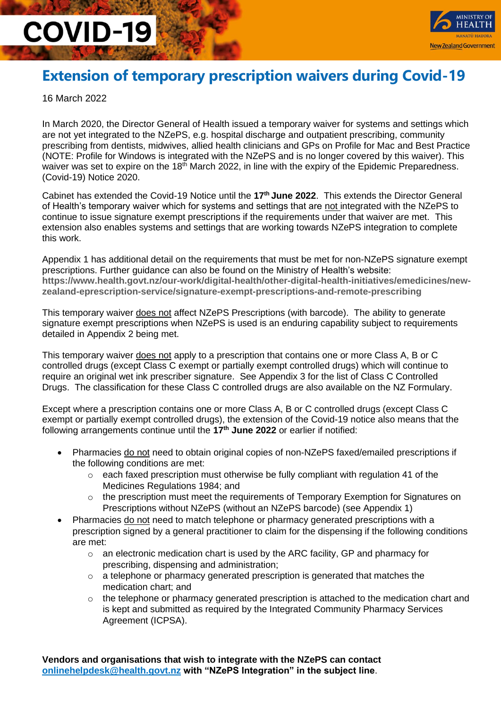

#### **Extension of temporary prescription waivers during Covid-19**

16 March 2022

In March 2020, the Director General of Health issued a temporary waiver for systems and settings which are not yet integrated to the NZePS, e.g. hospital discharge and outpatient prescribing, community prescribing from dentists, midwives, allied health clinicians and GPs on Profile for Mac and Best Practice (NOTE: Profile for Windows is integrated with the NZePS and is no longer covered by this waiver). This waiver was set to expire on the 18<sup>th</sup> March 2022, in line with the expiry of the Epidemic Preparedness. (Covid-19) Notice 2020.

Cabinet has extended the Covid-19 Notice until the 17<sup>th</sup> June 2022. This extends the Director General of Health's temporary waiver which for systems and settings that are not integrated with the NZePS to continue to issue signature exempt prescriptions if the requirements under that waiver are met. This extension also enables systems and settings that are working towards NZePS integration to complete this work.

Appendix 1 has additional detail on the requirements that must be met for non-NZePS signature exempt prescriptions. Further guidance can also be found on the Ministry of Health's website: **[https://www.health.govt.nz/our-work/digital-health/other-digital-health-initiatives/emedicines/new](https://www.health.govt.nz/our-work/digital-health/other-digital-health-initiatives/emedicines/new-zealand-eprescription-service/signature-exempt-prescriptions-and-remote-prescribing)[zealand-eprescription-service/signature-exempt-prescriptions-and-remote-prescribing](https://www.health.govt.nz/our-work/digital-health/other-digital-health-initiatives/emedicines/new-zealand-eprescription-service/signature-exempt-prescriptions-and-remote-prescribing)**

This temporary waiver does not affect NZePS Prescriptions (with barcode). The ability to generate signature exempt prescriptions when NZePS is used is an enduring capability subject to requirements detailed in Appendix 2 being met.

This temporary waiver does not apply to a prescription that contains one or more Class A, B or C controlled drugs (except Class C exempt or partially exempt controlled drugs) which will continue to require an original wet ink prescriber signature. See Appendix 3 for the list of Class C Controlled Drugs. The classification for these Class C controlled drugs are also available on the NZ Formulary.

Except where a prescription contains one or more Class A, B or C controlled drugs (except Class C exempt or partially exempt controlled drugs), the extension of the Covid-19 notice also means that the following arrangements continue until the **17 th June 2022** or earlier if notified:

- Pharmacies do not need to obtain original copies of non-NZePS faxed/emailed prescriptions if the following conditions are met:
	- $\circ$  each faxed prescription must otherwise be fully compliant with regulation 41 of the Medicines Regulations 1984; and
	- $\circ$  the prescription must meet the requirements of Temporary Exemption for Signatures on Prescriptions without NZePS (without an NZePS barcode) (see Appendix 1)
- Pharmacies do not need to match telephone or pharmacy generated prescriptions with a prescription signed by a general practitioner to claim for the dispensing if the following conditions are met:
	- o an electronic medication chart is used by the ARC facility, GP and pharmacy for prescribing, dispensing and administration;
	- $\circ$  a telephone or pharmacy generated prescription is generated that matches the medication chart; and
	- o the telephone or pharmacy generated prescription is attached to the medication chart and is kept and submitted as required by the Integrated Community Pharmacy Services Agreement (ICPSA).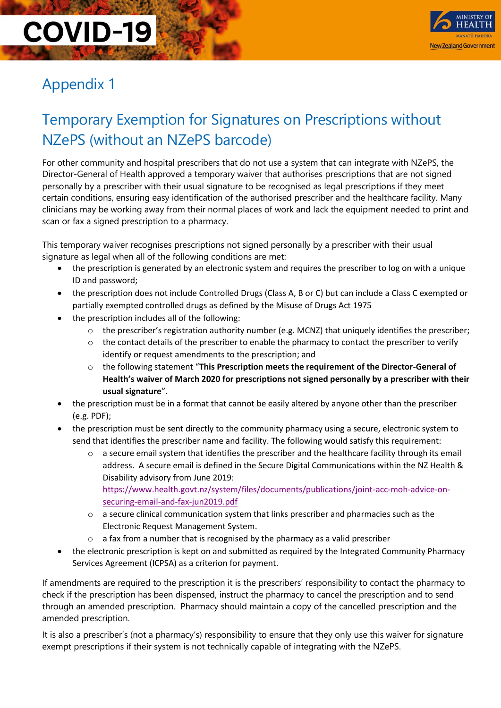

### Appendix 1

### Temporary Exemption for Signatures on Prescriptions without NZePS (without an NZePS barcode)

For other community and hospital prescribers that do not use a system that can integrate with NZePS, the Director-General of Health approved a temporary waiver that authorises prescriptions that are not signed personally by a prescriber with their usual signature to be recognised as legal prescriptions if they meet certain conditions, ensuring easy identification of the authorised prescriber and the healthcare facility. Many clinicians may be working away from their normal places of work and lack the equipment needed to print and scan or fax a signed prescription to a pharmacy.

This temporary waiver recognises prescriptions not signed personally by a prescriber with their usual signature as legal when all of the following conditions are met:

- the prescription is generated by an electronic system and requires the prescriber to log on with a unique ID and password;
- the prescription does not include Controlled Drugs (Class A, B or C) but can include a Class C exempted or partially exempted controlled drugs as defined by the Misuse of Drugs Act 1975
- the prescription includes all of the following:
	- $\circ$  the prescriber's registration authority number (e.g. MCNZ) that uniquely identifies the prescriber;
	- o the contact details of the prescriber to enable the pharmacy to contact the prescriber to verify identify or request amendments to the prescription; and
	- o the following statement "**This Prescription meets the requirement of the Director-General of Health's waiver of March 2020 for prescriptions not signed personally by a prescriber with their usual signature**".
- the prescription must be in a format that cannot be easily altered by anyone other than the prescriber (e.g. PDF);
- the prescription must be sent directly to the community pharmacy using a secure, electronic system to send that identifies the prescriber name and facility. The following would satisfy this requirement:
	- o a secure email system that identifies the prescriber and the healthcare facility through its email address. A secure email is defined in the Secure Digital Communications within the NZ Health & Disability advisory from June 2019: [https://www.health.govt.nz/system/files/documents/publications/joint-acc-moh-advice-on](https://www.health.govt.nz/system/files/documents/publications/joint-acc-moh-advice-on-securing-email-and-fax-jun2019.pdf)[securing-email-and-fax-jun2019.pdf](https://www.health.govt.nz/system/files/documents/publications/joint-acc-moh-advice-on-securing-email-and-fax-jun2019.pdf)
	- o a secure clinical communication system that links prescriber and pharmacies such as the Electronic Request Management System.
	- o a fax from a number that is recognised by the pharmacy as a valid prescriber
- the electronic prescription is kept on and submitted as required by the Integrated Community Pharmacy Services Agreement (ICPSA) as a criterion for payment.

If amendments are required to the prescription it is the prescribers' responsibility to contact the pharmacy to check if the prescription has been dispensed, instruct the pharmacy to cancel the prescription and to send through an amended prescription. Pharmacy should maintain a copy of the cancelled prescription and the amended prescription.

It is also a prescriber's (not a pharmacy's) responsibility to ensure that they only use this waiver for signature exempt prescriptions if their system is not technically capable of integrating with the NZePS.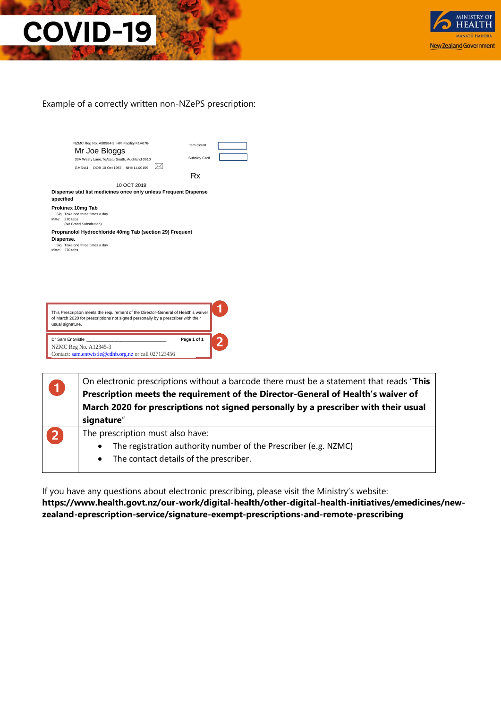

#### Example of a correctly written non-NZePS prescription:

|                              |                                 | Mr Joe Bloggs                                                                      |             |   |              |  |  |
|------------------------------|---------------------------------|------------------------------------------------------------------------------------|-------------|---|--------------|--|--|
|                              |                                 | 33A Westy Lane, TeAtatu South, Auckland 0610                                       |             |   | Subsidy Card |  |  |
|                              |                                 | GMS:A4 DOB 10 Oct 1957 NHI: LLX0159                                                |             | M |              |  |  |
|                              |                                 |                                                                                    |             |   | Rx           |  |  |
|                              |                                 |                                                                                    | 10 OCT 2019 |   |              |  |  |
|                              |                                 | Dispense stat list medicines once only unless Frequent Dispense                    |             |   |              |  |  |
| specified                    |                                 |                                                                                    |             |   |              |  |  |
|                              | Prokinex 10mg Tab               |                                                                                    |             |   |              |  |  |
| Mitte: 270 tabs              | Sig: Take one three times a day |                                                                                    |             |   |              |  |  |
|                              | (No Brand Substitution)         |                                                                                    |             |   |              |  |  |
|                              |                                 | Propranolol Hydrochloride 40mg Tab (section 29) Frequent                           |             |   |              |  |  |
|                              |                                 |                                                                                    |             |   |              |  |  |
|                              |                                 |                                                                                    |             |   |              |  |  |
|                              | Sig: Take one three times a day |                                                                                    |             |   |              |  |  |
| Dispense.<br>Mitte: 270 tabs |                                 |                                                                                    |             |   |              |  |  |
|                              |                                 |                                                                                    |             |   |              |  |  |
|                              |                                 |                                                                                    |             |   |              |  |  |
|                              |                                 |                                                                                    |             |   |              |  |  |
|                              |                                 |                                                                                    |             |   |              |  |  |
|                              |                                 |                                                                                    |             |   |              |  |  |
|                              |                                 |                                                                                    |             |   |              |  |  |
|                              |                                 |                                                                                    |             |   |              |  |  |
|                              |                                 |                                                                                    |             |   |              |  |  |
|                              |                                 |                                                                                    |             |   |              |  |  |
|                              |                                 | This Prescription meets the requirement of the Director-General of Health's waiver |             |   |              |  |  |
|                              |                                 | of March 2020 for prescriptions not signed personally by a prescriber with their   |             |   |              |  |  |
|                              |                                 |                                                                                    |             |   |              |  |  |
|                              |                                 |                                                                                    |             |   |              |  |  |
|                              | Dr Sam Entwistle                |                                                                                    |             |   | Page 1 of 1  |  |  |
|                              | NZMC Reg No. A12345-3           |                                                                                    |             |   |              |  |  |
| usual signature.             |                                 | Contact: sam.entwistle@cdhb.org.nz or call 027123456                               |             |   |              |  |  |

| $\blacksquare$ | On electronic prescriptions without a barcode there must be a statement that reads "This<br>Prescription meets the requirement of the Director-General of Health's waiver of<br>March 2020 for prescriptions not signed personally by a prescriber with their usual<br>signature" |
|----------------|-----------------------------------------------------------------------------------------------------------------------------------------------------------------------------------------------------------------------------------------------------------------------------------|
| $\mathbf{2}$   | The prescription must also have:<br>The registration authority number of the Prescriber (e.g. NZMC)<br>• The contact details of the prescriber.                                                                                                                                   |

If you have any questions about electronic prescribing, please visit the Ministry's website: **[https://www.health.govt.nz/our-work/digital-health/other-digital-health-initiatives/emedicines/new](https://www.health.govt.nz/our-work/digital-health/other-digital-health-initiatives/emedicines/new-zealand-eprescription-service/signature-exempt-prescriptions-and-remote-prescribing)[zealand-eprescription-service/signature-exempt-prescriptions-and-remote-prescribing](https://www.health.govt.nz/our-work/digital-health/other-digital-health-initiatives/emedicines/new-zealand-eprescription-service/signature-exempt-prescriptions-and-remote-prescribing)**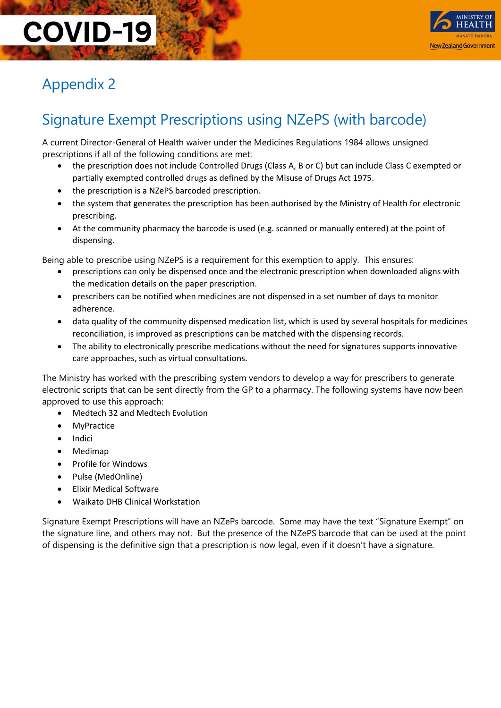

### Appendix 2

### Signature Exempt Prescriptions using NZePS (with barcode)

A current Director-General of Health waiver under the Medicines Regulations 1984 allows unsigned prescriptions if all of the following conditions are met:

- the prescription does not include Controlled Drugs (Class A, B or C) but can include Class C exempted or partially exempted controlled drugs as defined by the Misuse of Drugs Act 1975.
- the prescription is a NZePS barcoded prescription.
- the system that generates the prescription has been authorised by the Ministry of Health for electronic prescribing.
- At the community pharmacy the barcode is used (e.g. scanned or manually entered) at the point of dispensing.

Being able to prescribe using NZePS is a requirement for this exemption to apply. This ensures:

- prescriptions can only be dispensed once and the electronic prescription when downloaded aligns with the medication details on the paper prescription.
- prescribers can be notified when medicines are not dispensed in a set number of days to monitor adherence.
- data quality of the community dispensed medication list, which is used by several hospitals for medicines reconciliation, is improved as prescriptions can be matched with the dispensing records.
- The ability to electronically prescribe medications without the need for signatures supports innovative care approaches, such as virtual consultations.

The Ministry has worked with the prescribing system vendors to develop a way for prescribers to generate electronic scripts that can be sent directly from the GP to a pharmacy. The following systems have now been approved to use this approach:

- Medtech 32 and Medtech Evolution
- **MyPractice**
- **Indici**
- Medimap
- Profile for Windows
- Pulse (MedOnline)
- Elixir Medical Software
- Waikato DHB Clinical Workstation

Signature Exempt Prescriptions will have an NZePs barcode. Some may have the text "Signature Exempt" on the signature line, and others may not. But the presence of the NZePS barcode that can be used at the point of dispensing is the definitive sign that a prescription is now legal, even if it doesn't have a signature.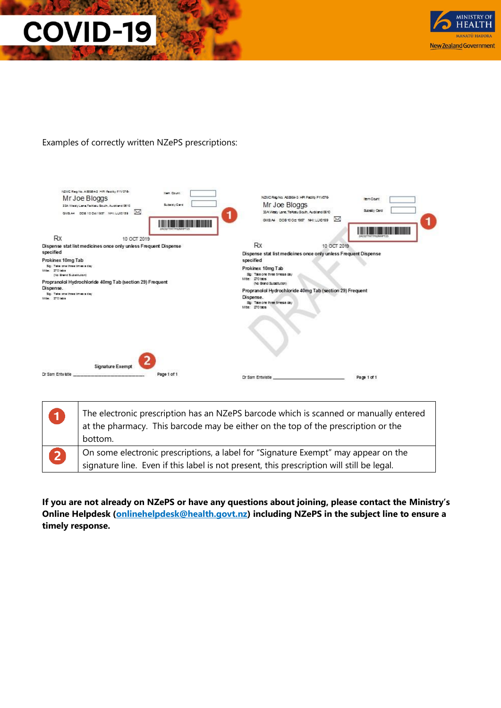

Examples of correctly written NZePS prescriptions:

| NZMC Reg No. A 55954-3 HPI Pacify FIVOT6-<br>Mr Joe Bloggs<br>33A Westy Lane, Te Afalu South, Auddand 0810<br>GMS.A4 008 10 Oct 1957 NHI: LLX0159                                 | ⊠                                                               | <b>Item Count</b><br>Subsidy Card | NZMC Rep No. A63984-3 HPI Facility P1V076-<br>Mr Joe Bloggs<br>33A Westy Lane, Te-Itatu South, Auddland 0610<br>GMS.A4 DOB 10 Oct 1957 NHI: LDD159                                                                                                                                                          | ⊠           | lem Count<br>Subsidly Card |
|-----------------------------------------------------------------------------------------------------------------------------------------------------------------------------------|-----------------------------------------------------------------|-----------------------------------|-------------------------------------------------------------------------------------------------------------------------------------------------------------------------------------------------------------------------------------------------------------------------------------------------------------|-------------|----------------------------|
| <b>Rx</b>                                                                                                                                                                         | 10 OCT 2019                                                     |                                   |                                                                                                                                                                                                                                                                                                             |             |                            |
|                                                                                                                                                                                   | Dispense stat list medicines once only unless Frequent Dispense |                                   | <b>Rx</b>                                                                                                                                                                                                                                                                                                   | 10 OCT 2019 |                            |
| specified<br>Prokinex 10mg Tab<br>Sig: Take one three times a day<br>Mite: 270 taba<br>(No Smind Substitution)<br>Dispense.<br>Sig: Take one three times a day<br>Mite: 270 fabra | Propranolol Hydrochloride 40mg Tab (section 29) Frequent        |                                   | Dispense stat list medicines once only unless Frequent Dispense<br>specified<br>Prokinex 10mg Tab<br>Sp: Take one three timesa day<br>Mite: 270 tabs<br>(No Brand Substitution)<br>Propranolol Hydrochloride 40mg Tab (section 29) Frequent<br>Dispense.<br>Sp: Take one three timesa day<br>Mite: 270 tabs |             |                            |
| Dr Sam Entwictle                                                                                                                                                                  | <b>Signature Exempt</b><br>Page 1 of 1                          |                                   | Dr Sam Entwistle                                                                                                                                                                                                                                                                                            |             | Page 1 of 1                |

| $\blacksquare$ | The electronic prescription has an NZePS barcode which is scanned or manually entered<br>at the pharmacy. This barcode may be either on the top of the prescription or the<br>bottom. |
|----------------|---------------------------------------------------------------------------------------------------------------------------------------------------------------------------------------|
| 2              | On some electronic prescriptions, a label for "Signature Exempt" may appear on the<br>signature line. Even if this label is not present, this prescription will still be legal.       |

**If you are not already on NZePS or have any questions about joining, please contact the Ministry's Online Helpdesk [\(onlinehelpdesk@health.govt.nz\)](mailto:onlinehelpdesk@health.govt.nz) including NZePS in the subject line to ensure a timely response.**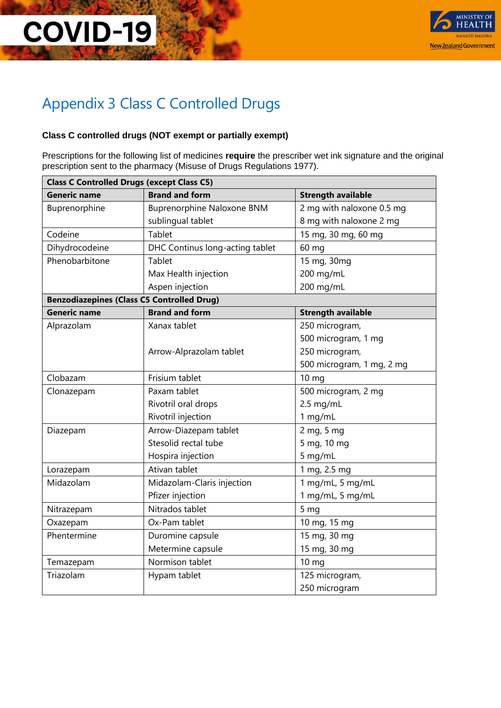

### Appendix 3 Class C Controlled Drugs

#### **Class C controlled drugs (NOT exempt or partially exempt)**

Prescriptions for the following list of medicines **require** the prescriber wet ink signature and the original prescription sent to the pharmacy (Misuse of Drugs Regulations 1977).

| <b>Class C Controlled Drugs (except Class C5)</b> |                                   |                           |  |  |
|---------------------------------------------------|-----------------------------------|---------------------------|--|--|
| <b>Generic name</b>                               | <b>Brand and form</b>             | <b>Strength available</b> |  |  |
| Buprenorphine                                     | <b>Buprenorphine Naloxone BNM</b> | 2 mg with naloxone 0.5 mg |  |  |
|                                                   | sublingual tablet                 | 8 mg with naloxone 2 mg   |  |  |
| Codeine                                           | <b>Tablet</b>                     | 15 mg, 30 mg, 60 mg       |  |  |
| Dihydrocodeine                                    | DHC Continus long-acting tablet   | 60 mg                     |  |  |
| Phenobarbitone                                    | <b>Tablet</b>                     | 15 mg, 30mg               |  |  |
|                                                   | Max Health injection              | 200 mg/mL                 |  |  |
|                                                   | Aspen injection                   | 200 mg/mL                 |  |  |
| <b>Benzodiazepines (Class C5 Controlled Drug)</b> |                                   |                           |  |  |
| <b>Generic name</b>                               | <b>Brand and form</b>             | <b>Strength available</b> |  |  |
| Alprazolam                                        | Xanax tablet                      | 250 microgram,            |  |  |
|                                                   |                                   | 500 microgram, 1 mg       |  |  |
|                                                   | Arrow-Alprazolam tablet           | 250 microgram,            |  |  |
|                                                   |                                   | 500 microgram, 1 mg, 2 mg |  |  |
| Clobazam                                          | Frisium tablet                    | 10 <sub>mg</sub>          |  |  |
| Clonazepam                                        | Paxam tablet                      | 500 microgram, 2 mg       |  |  |
|                                                   | Rivotril oral drops               | $2.5$ mg/mL               |  |  |
|                                                   | Rivotril injection                | 1 mg/mL                   |  |  |
| Diazepam                                          | Arrow-Diazepam tablet             | 2 mg, 5 mg                |  |  |
|                                                   | Stesolid rectal tube              | 5 mg, 10 mg               |  |  |
|                                                   | Hospira injection                 | 5 mg/mL                   |  |  |
| Lorazepam                                         | Ativan tablet                     | 1 mg, 2.5 mg              |  |  |
| Midazolam                                         | Midazolam-Claris injection        | 1 mg/mL, 5 mg/mL          |  |  |
|                                                   | Pfizer injection                  | 1 mg/mL, 5 mg/mL          |  |  |
| Nitrazepam                                        | Nitrados tablet                   | 5 <sub>mg</sub>           |  |  |
| Oxazepam                                          | Ox-Pam tablet                     | 10 mg, 15 mg              |  |  |
| Phentermine                                       | Duromine capsule                  | 15 mg, 30 mg              |  |  |
|                                                   | Metermine capsule                 | 15 mg, 30 mg              |  |  |
| Temazepam                                         | Normison tablet                   | $10 \text{ mg}$           |  |  |
| Triazolam                                         | Hypam tablet                      | 125 microgram,            |  |  |
|                                                   |                                   | 250 microgram             |  |  |